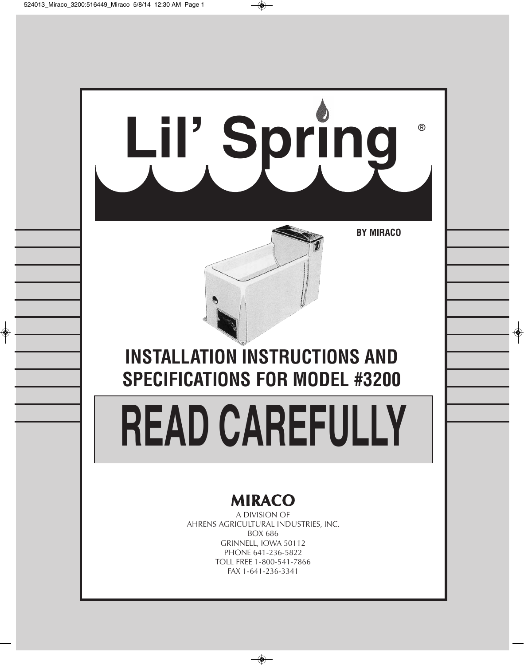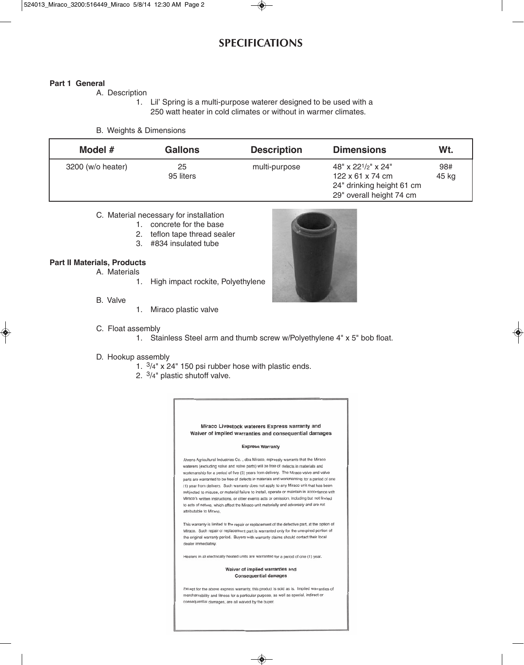# **SPECIFICATIONS**

#### **Part 1 General**

A. Description

 1. Lil' Spring is a multi-purpose waterer designed to be used with a 250 watt heater in cold climates or without in warmer climates.

#### B. Weights & Dimensions

| Model $#$         | <b>Gallons</b>  | <b>Description</b> | <b>Dimensions</b>                                                                                           | Wt.          |
|-------------------|-----------------|--------------------|-------------------------------------------------------------------------------------------------------------|--------------|
| 3200 (w/o heater) | 25<br>95 liters | multi-purpose      | 48" x 221/2" x 24"<br>$122 \times 61 \times 74$ cm<br>24" drinking height 61 cm<br>29" overall height 74 cm | 98#<br>45 kg |

### C. Material necessary for installation

- 1. concrete for the base
- 2. teflon tape thread sealer
- 3. #834 insulated tube

### **Part II Materials, Products**

- A. Materials
	- 1. High impact rockite, Polyethylene
- B. Valve
- 1. Miraco plastic valve

- C. Float assembly
	- 1. Stainless Steel arm and thumb screw w/Polyethylene 4" x 5" bob float.

#### D. Hookup assembly

- 1. 3/4" x 24" 150 psi rubber hose with plastic ends.
- 2. 3/4" plastic shutoff valve.

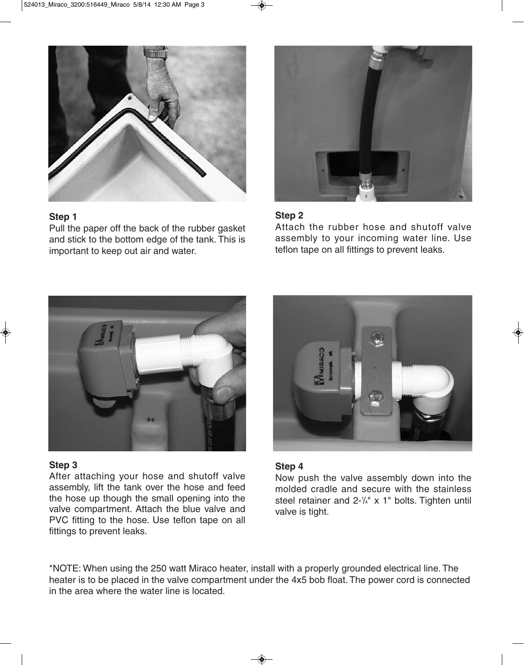

# **Step 1**

Pull the paper off the back of the rubber gasket and stick to the bottom edge of the tank. This is important to keep out air and water.



# **Step 2**

Attach the rubber hose and shutoff valve assembly to your incoming water line. Use teflon tape on all fittings to prevent leaks.



## **Step 3**

After attaching your hose and shutoff valve assembly, lift the tank over the hose and feed the hose up though the small opening into the valve compartment. Attach the blue valve and PVC fitting to the hose. Use teflon tape on all fittings to prevent leaks.



## **Step 4**

Now push the valve assembly down into the molded cradle and secure with the stainless steel retainer and  $2-\frac{1}{4}$ " x 1" bolts. Tighten until valve is tight.

\*NOTE: When using the 250 watt Miraco heater, install with a properly grounded electrical line. The heater is to be placed in the valve compartment under the 4x5 bob float. The power cord is connected in the area where the water line is located.